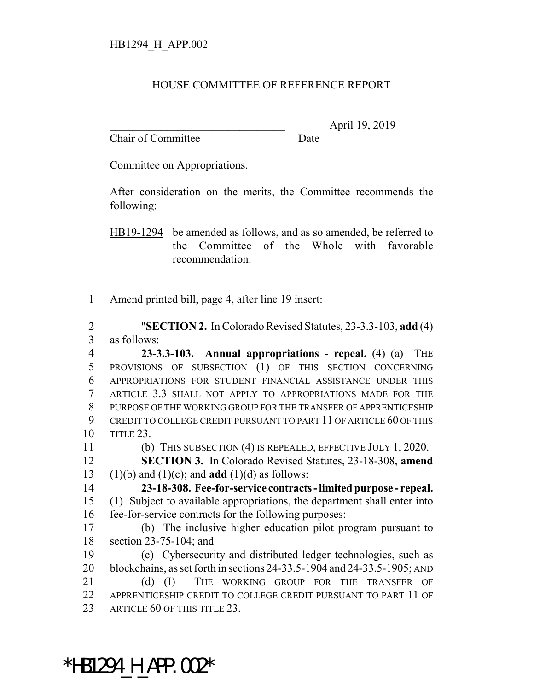## HOUSE COMMITTEE OF REFERENCE REPORT

Chair of Committee Date

\_\_\_\_\_\_\_\_\_\_\_\_\_\_\_\_\_\_\_\_\_\_\_\_\_\_\_\_\_\_\_ April 19, 2019

Committee on Appropriations.

After consideration on the merits, the Committee recommends the following:

HB19-1294 be amended as follows, and as so amended, be referred to the Committee of the Whole with favorable recommendation:

Amend printed bill, page 4, after line 19 insert:

 "**SECTION 2.** In Colorado Revised Statutes, 23-3.3-103, **add** (4) as follows:

 **23-3.3-103. Annual appropriations - repeal.** (4) (a) THE PROVISIONS OF SUBSECTION (1) OF THIS SECTION CONCERNING APPROPRIATIONS FOR STUDENT FINANCIAL ASSISTANCE UNDER THIS ARTICLE 3.3 SHALL NOT APPLY TO APPROPRIATIONS MADE FOR THE PURPOSE OF THE WORKING GROUP FOR THE TRANSFER OF APPRENTICESHIP CREDIT TO COLLEGE CREDIT PURSUANT TO PART 11 OF ARTICLE 60 OF THIS TITLE 23.

(b) THIS SUBSECTION (4) IS REPEALED, EFFECTIVE JULY 1, 2020.

 **SECTION 3.** In Colorado Revised Statutes, 23-18-308, **amend** (1)(b) and (1)(c); and **add** (1)(d) as follows:

 **23-18-308. Fee-for-service contracts - limited purpose - repeal.** (1) Subject to available appropriations, the department shall enter into fee-for-service contracts for the following purposes:

 (b) The inclusive higher education pilot program pursuant to section 23-75-104; and

 (c) Cybersecurity and distributed ledger technologies, such as blockchains, as set forth in sections 24-33.5-1904 and 24-33.5-1905; AND 21 (d) (I) THE WORKING GROUP FOR THE TRANSFER OF APPRENTICESHIP CREDIT TO COLLEGE CREDIT PURSUANT TO PART 11 OF 23 ARTICLE 60 OF THIS TITLE 23.

\*HB1294\_H\_APP.002\*